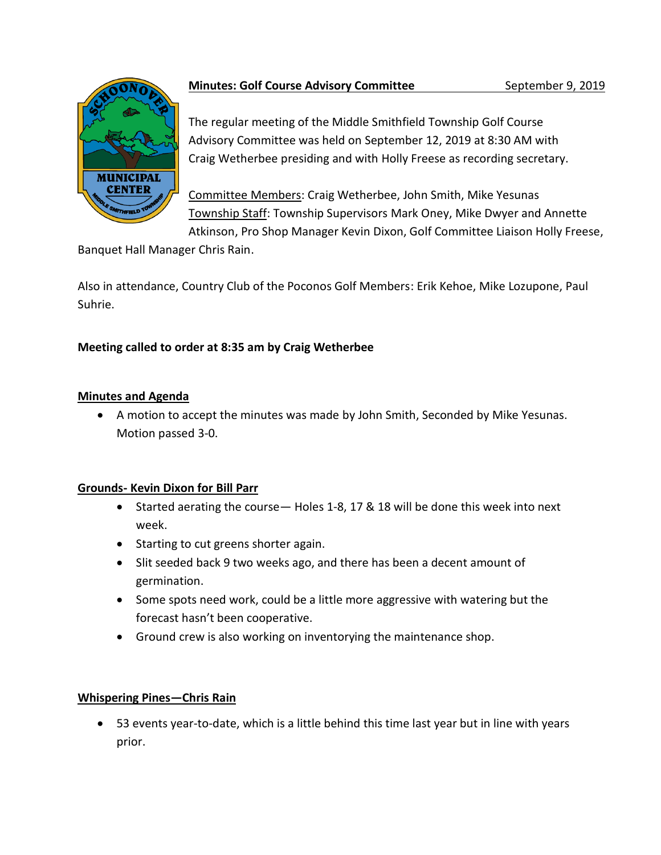

# **Minutes: Golf Course Advisory Committee September 9, 2019**

The regular meeting of the Middle Smithfield Township Golf Course Advisory Committee was held on September 12, 2019 at 8:30 AM with Craig Wetherbee presiding and with Holly Freese as recording secretary.

Committee Members: Craig Wetherbee, John Smith, Mike Yesunas Township Staff: Township Supervisors Mark Oney, Mike Dwyer and Annette Atkinson, Pro Shop Manager Kevin Dixon, Golf Committee Liaison Holly Freese,

Banquet Hall Manager Chris Rain.

Also in attendance, Country Club of the Poconos Golf Members: Erik Kehoe, Mike Lozupone, Paul Suhrie.

# **Meeting called to order at 8:35 am by Craig Wetherbee**

### **Minutes and Agenda**

• A motion to accept the minutes was made by John Smith, Seconded by Mike Yesunas. Motion passed 3-0.

### **Grounds- Kevin Dixon for Bill Parr**

- Started aerating the course— Holes 1-8, 17 & 18 will be done this week into next week.
- Starting to cut greens shorter again.
- Slit seeded back 9 two weeks ago, and there has been a decent amount of germination.
- Some spots need work, could be a little more aggressive with watering but the forecast hasn't been cooperative.
- Ground crew is also working on inventorying the maintenance shop.

## **Whispering Pines—Chris Rain**

• 53 events year-to-date, which is a little behind this time last year but in line with years prior.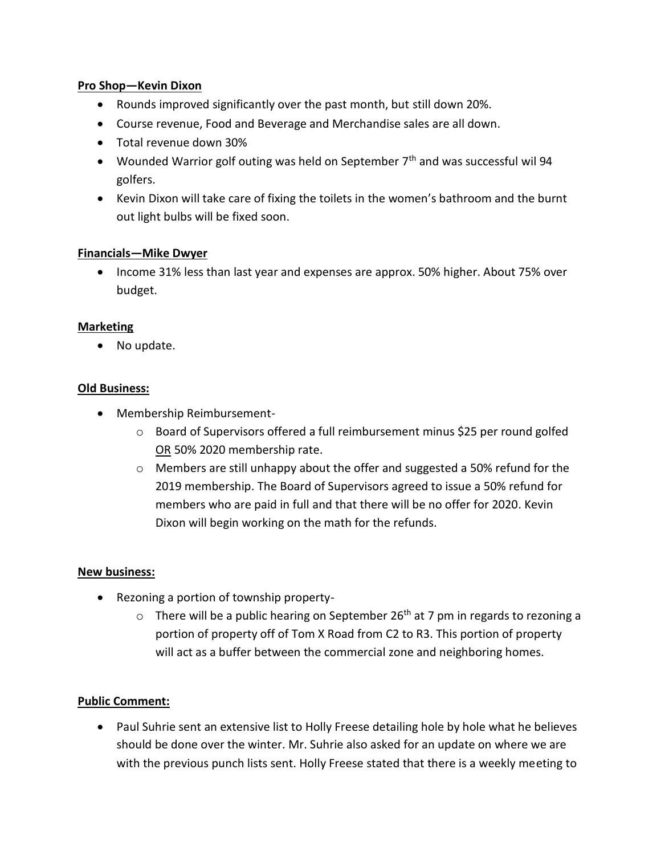### **Pro Shop—Kevin Dixon**

- Rounds improved significantly over the past month, but still down 20%.
- Course revenue, Food and Beverage and Merchandise sales are all down.
- Total revenue down 30%
- Wounded Warrior golf outing was held on September  $7<sup>th</sup>$  and was successful wil 94 golfers.
- Kevin Dixon will take care of fixing the toilets in the women's bathroom and the burnt out light bulbs will be fixed soon.

### **Financials—Mike Dwyer**

• Income 31% less than last year and expenses are approx. 50% higher. About 75% over budget.

### **Marketing**

• No update.

### **Old Business:**

- Membership Reimbursement
	- o Board of Supervisors offered a full reimbursement minus \$25 per round golfed OR 50% 2020 membership rate.
	- $\circ$  Members are still unhappy about the offer and suggested a 50% refund for the 2019 membership. The Board of Supervisors agreed to issue a 50% refund for members who are paid in full and that there will be no offer for 2020. Kevin Dixon will begin working on the math for the refunds.

#### **New business:**

- Rezoning a portion of township property-
	- $\circ$  There will be a public hearing on September 26<sup>th</sup> at 7 pm in regards to rezoning a portion of property off of Tom X Road from C2 to R3. This portion of property will act as a buffer between the commercial zone and neighboring homes.

#### **Public Comment:**

• Paul Suhrie sent an extensive list to Holly Freese detailing hole by hole what he believes should be done over the winter. Mr. Suhrie also asked for an update on where we are with the previous punch lists sent. Holly Freese stated that there is a weekly meeting to